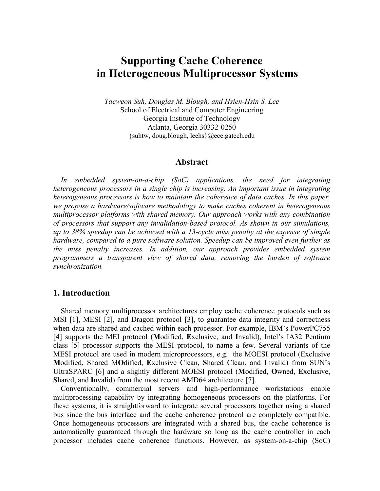# **Supporting Cache Coherence in Heterogeneous Multiprocessor Systems**

*Taeweon Suh, Douglas M. Blough, and Hsien-Hsin S. Lee*  School of Electrical and Computer Engineering Georgia Institute of Technology Atlanta, Georgia 30332-0250 {suhtw, doug.blough, leehs}@ece.gatech.edu

#### **Abstract**

*In embedded system-on-a-chip (SoC) applications, the need for integrating heterogeneous processors in a single chip is increasing. An important issue in integrating heterogeneous processors is how to maintain the coherence of data caches. In this paper, we propose a hardware/software methodology to make caches coherent in heterogeneous multiprocessor platforms with shared memory. Our approach works with any combination of processors that support any invalidation-based protocol. As shown in our simulations, up to 38% speedup can be achieved with a 13-cycle miss penalty at the expense of simple hardware, compared to a pure software solution. Speedup can be improved even further as the miss penalty increases. In addition, our approach provides embedded system programmers a transparent view of shared data, removing the burden of software synchronization.* 

# **1. Introduction**

Shared memory multiprocessor architectures employ cache coherence protocols such as MSI [1], MESI [2], and Dragon protocol [3], to guarantee data integrity and correctness when data are shared and cached within each processor. For example, IBM's PowerPC755 [4] supports the MEI protocol (**M**odified, **E**xclusive, and **I**nvalid), Intel's IA32 Pentium class [5] processor supports the MESI protocol, to name a few. Several variants of the MESI protocol are used in modern microprocessors, e.g. the MOESI protocol (Exclusive **M**odified, Shared M**O**dified, **E**xclusive Clean, **S**hared Clean, and **I**nvalid) from SUN's UltraSPARC [6] and a slightly different MOESI protocol (**M**odified, **O**wned, **E**xclusive, **S**hared, and **I**nvalid) from the most recent AMD64 architecture [7].

Conventionally, commercial servers and high-performance workstations enable multiprocessing capability by integrating homogeneous processors on the platforms. For these systems, it is straightforward to integrate several processors together using a shared bus since the bus interface and the cache coherence protocol are completely compatible. Once homogeneous processors are integrated with a shared bus, the cache coherence is automatically guaranteed through the hardware so long as the cache controller in each processor includes cache coherence functions. However, as system-on-a-chip (SoC)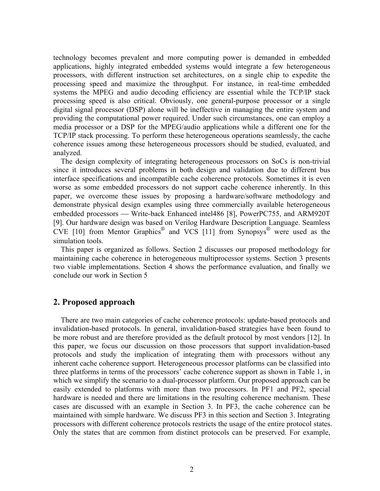technology becomes prevalent and more computing power is demanded in embedded applications, highly integrated embedded systems would integrate a few heterogeneous processors, with different instruction set architectures, on a single chip to expedite the processing speed and maximize the throughput. For instance, in real-time embedded systems the MPEG and audio decoding efficiency are essential while the TCP/IP stack processing speed is also critical. Obviously, one general-purpose processor or a single digital signal processor (DSP) alone will be ineffective in managing the entire system and providing the computational power required. Under such circumstances, one can employ a media processor or a DSP for the MPEG/audio applications while a different one for the TCP/IP stack processing. To perform these heterogeneous operations seamlessly, the cache coherence issues among these heterogeneous processors should be studied, evaluated, and analyzed.

The design complexity of integrating heterogeneous processors on SoCs is non-trivial since it introduces several problems in both design and validation due to different bus interface specifications and incompatible cache coherence protocols. Sometimes it is even worse as some embedded processors do not support cache coherence inherently. In this paper, we overcome these issues by proposing a hardware/software methodology and demonstrate physical design examples using three commercially available heterogeneous embedded processors — Write-back Enhanced intel486 [8], PowerPC755, and ARM920T [9]. Our hardware design was based on Verilog Hardware Description Language. Seamless CVE [10] from Mentor Graphics® and VCS [11] from Synopsys® were used as the simulation tools.

This paper is organized as follows. Section 2 discusses our proposed methodology for maintaining cache coherence in heterogeneous multiprocessor systems. Section 3 presents two viable implementations. Section 4 shows the performance evaluation, and finally we conclude our work in Section 5

# **2. Proposed approach**

There are two main categories of cache coherence protocols: update-based protocols and invalidation-based protocols. In general, invalidation-based strategies have been found to be more robust and are therefore provided as the default protocol by most vendors [12]. In this paper, we focus our discussion on those processors that support invalidation-based protocols and study the implication of integrating them with processors without any inherent cache coherence support. Heterogeneous processor platforms can be classified into three platforms in terms of the processors' cache coherence support as shown in Table 1, in which we simplify the scenario to a dual-processor platform. Our proposed approach can be easily extended to platforms with more than two processors. In PF1 and PF2, special hardware is needed and there are limitations in the resulting coherence mechanism. These cases are discussed with an example in Section 3. In PF3, the cache coherence can be maintained with simple hardware. We discuss PF3 in this section and Section 3. Integrating processors with different coherence protocols restricts the usage of the entire protocol states. Only the states that are common from distinct protocols can be preserved. For example,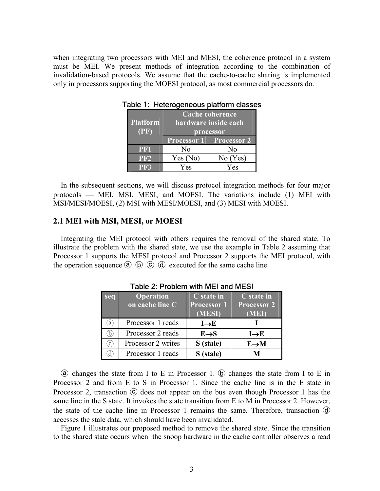when integrating two processors with MEI and MESI, the coherence protocol in a system must be MEI. We present methods of integration according to the combination of invalidation-based protocols. We assume that the cache-to-cache sharing is implemented only in processors supporting the MOESI protocol, as most commercial processors do.

|                 | <b>Cache coherence</b>      |                                |  |
|-----------------|-----------------------------|--------------------------------|--|
| <b>Platform</b> | <b>hardware inside each</b> |                                |  |
| (PF)            | processor                   |                                |  |
|                 |                             | <b>Processor 1</b> Processor 2 |  |
| PF1             | No                          | N <sub>0</sub>                 |  |
| PF2             | Yes (No)                    | No(Yes)                        |  |
| PR3             | Yes                         | Yes                            |  |

Table 1: Heterogeneous platform classes

In the subsequent sections, we will discuss protocol integration methods for four major protocols — MEI, MSI, MESI, and MOESI. The variations include (1) MEI with MSI/MESI/MOESI, (2) MSI with MESI/MOESI, and (3) MESI with MOESI.

#### **2.1 MEI with MSI, MESI, or MOESI**

Integrating the MEI protocol with others requires the removal of the shared state. To illustrate the problem with the shared state, we use the example in Table 2 assuming that Processor 1 supports the MESI protocol and Processor 2 supports the MEI protocol, with the operation sequence  $\overline{a}$   $\overline{b}$   $\overline{c}$   $\overline{d}$  executed for the same cache line.

| seq             | <b>Operation</b><br>on cache line C | C state in<br><b>Processor 1</b><br>(MESI) | C state in<br><b>Processor 2</b><br><b>MED</b> |
|-----------------|-------------------------------------|--------------------------------------------|------------------------------------------------|
| a)              | Processor 1 reads                   | $I \rightarrow E$                          |                                                |
| b)              | Processor 2 reads                   | $E \rightarrow S$                          | $I \rightarrow E$                              |
| $\mathcal{C}$ ) | Processor 2 writes                  | S (stale)                                  | $E \rightarrow M$                              |
|                 | Processor 1 reads                   | S (stale)                                  |                                                |

Table 2: Problem with MEI and MESI

ⓐ changes the state from I to E in Processor 1. ⓑ changes the state from I to E in Processor 2 and from E to S in Processor 1. Since the cache line is in the E state in Processor 2, transaction  $\odot$  does not appear on the bus even though Processor 1 has the same line in the S state. It invokes the state transition from E to M in Processor 2. However, the state of the cache line in Processor 1 remains the same. Therefore, transaction  $\overline{d}$ accesses the stale data, which should have been invalidated.

Figure 1 illustrates our proposed method to remove the shared state. Since the transition to the shared state occurs when the snoop hardware in the cache controller observes a read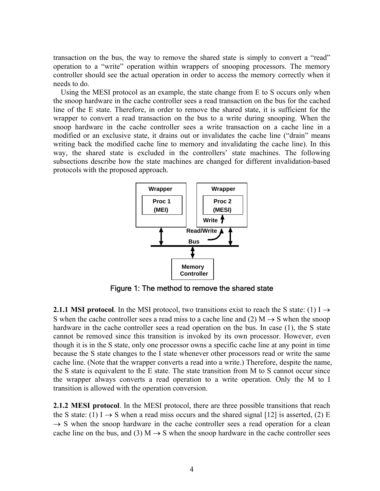transaction on the bus, the way to remove the shared state is simply to convert a "read" operation to a "write" operation within wrappers of snooping processors. The memory controller should see the actual operation in order to access the memory correctly when it needs to do.

Using the MESI protocol as an example, the state change from E to S occurs only when the snoop hardware in the cache controller sees a read transaction on the bus for the cached line of the E state. Therefore, in order to remove the shared state, it is sufficient for the wrapper to convert a read transaction on the bus to a write during snooping. When the snoop hardware in the cache controller sees a write transaction on a cache line in a modified or an exclusive state, it drains out or invalidates the cache line ("drain" means writing back the modified cache line to memory and invalidating the cache line). In this way, the shared state is excluded in the controllers' state machines. The following subsections describe how the state machines are changed for different invalidation-based protocols with the proposed approach.



Figure 1: The method to remove the shared state

**2.1.1 MSI protocol**. In the MSI protocol, two transitions exist to reach the S state: (1) I  $\rightarrow$ S when the cache controller sees a read miss to a cache line and (2)  $M \rightarrow S$  when the snoop hardware in the cache controller sees a read operation on the bus. In case (1), the S state cannot be removed since this transition is invoked by its own processor. However, even though it is in the S state, only one processor owns a specific cache line at any point in time because the S state changes to the I state whenever other processors read or write the same cache line. (Note that the wrapper converts a read into a write.) Therefore, despite the name, the S state is equivalent to the E state. The state transition from M to S cannot occur since the wrapper always converts a read operation to a write operation. Only the M to I transition is allowed with the operation conversion.

**2.1.2 MESI protocol**. In the MESI protocol, there are three possible transitions that reach the S state: (1) I  $\rightarrow$  S when a read miss occurs and the shared signal [12] is asserted, (2) E  $\rightarrow$  S when the snoop hardware in the cache controller sees a read operation for a clean cache line on the bus, and (3) M  $\rightarrow$  S when the snoop hardware in the cache controller sees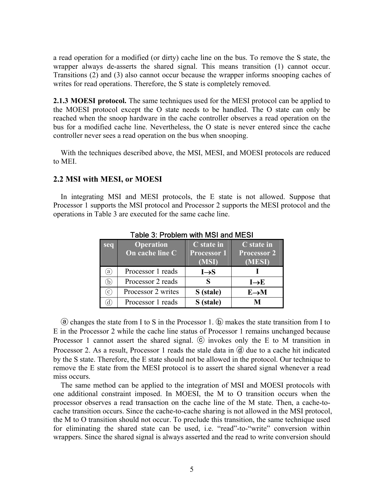a read operation for a modified (or dirty) cache line on the bus. To remove the S state, the wrapper always de-asserts the shared signal. This means transition (1) cannot occur. Transitions (2) and (3) also cannot occur because the wrapper informs snooping caches of writes for read operations. Therefore, the S state is completely removed.

**2.1.3 MOESI protocol.** The same techniques used for the MESI protocol can be applied to the MOESI protocol except the O state needs to be handled. The O state can only be reached when the snoop hardware in the cache controller observes a read operation on the bus for a modified cache line. Nevertheless, the O state is never entered since the cache controller never sees a read operation on the bus when snooping.

With the techniques described above, the MSI, MESI, and MOESI protocols are reduced to MEI.

# **2.2 MSI with MESI, or MOESI**

In integrating MSI and MESI protocols, the E state is not allowed. Suppose that Processor 1 supports the MSI protocol and Processor 2 supports the MESI protocol and the operations in Table 3 are executed for the same cache line.

| seq                | <b>Operation</b><br>On cache line C | C state in<br><b>Processor 1</b><br>(MSI) | C state in<br><b>Processor 2</b><br>(MESI) |
|--------------------|-------------------------------------|-------------------------------------------|--------------------------------------------|
| (a)                | Processor 1 reads                   | $I \rightarrow S$                         |                                            |
| b,                 | Processor 2 reads                   |                                           | $I \rightarrow E$                          |
| $\left( c\right)$  | Processor 2 writes                  | S (stale)                                 | $E \rightarrow M$                          |
| $\left[ d \right]$ | Processor 1 reads                   | S (stale)                                 | M                                          |

Table 3: Problem with MSI and MESI

ⓐ changes the state from I to S in the Processor 1. ⓑ makes the state transition from I to E in the Processor 2 while the cache line status of Processor 1 remains unchanged because Processor 1 cannot assert the shared signal.  $\odot$  invokes only the E to M transition in Processor 2. As a result, Processor 1 reads the stale data in  $\Theta$  due to a cache hit indicated by the S state. Therefore, the E state should not be allowed in the protocol. Our technique to remove the E state from the MESI protocol is to assert the shared signal whenever a read miss occurs.

The same method can be applied to the integration of MSI and MOESI protocols with one additional constraint imposed. In MOESI, the M to O transition occurs when the processor observes a read transaction on the cache line of the M state. Then, a cache-tocache transition occurs. Since the cache-to-cache sharing is not allowed in the MSI protocol, the M to O transition should not occur. To preclude this transition, the same technique used for eliminating the shared state can be used, i.e. "read"-to-"write" conversion within wrappers. Since the shared signal is always asserted and the read to write conversion should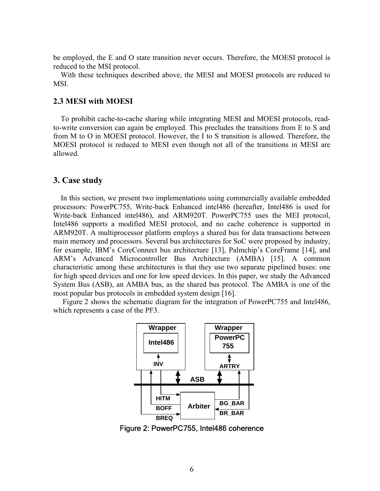be employed, the E and O state transition never occurs. Therefore, the MOESI protocol is reduced to the MSI protocol.

With these techniques described above, the MESI and MOESI protocols are reduced to **MSI** 

#### **2.3 MESI with MOESI**

To prohibit cache-to-cache sharing while integrating MESI and MOESI protocols, readto-write conversion can again be employed. This precludes the transitions from E to S and from M to O in MOESI protocol. However, the I to S transition is allowed. Therefore, the MOESI protocol is reduced to MESI even though not all of the transitions in MESI are allowed.

# **3. Case study**

In this section, we present two implementations using commercially available embedded processors: PowerPC755, Write-back Enhanced intel486 (hereafter, Intel486 is used for Write-back Enhanced intel486), and ARM920T. PowerPC755 uses the MEI protocol, Intel486 supports a modified MESI protocol, and no cache coherence is supported in ARM920T. A multiprocessor platform employs a shared bus for data transactions between main memory and processors. Several bus architectures for SoC were proposed by industry, for example, IBM's CoreConnect bus architecture [13], Palmchip's CoreFrame [14], and ARM's Advanced Microcontroller Bus Architecture (AMBA) [15]. A common characteristic among these architectures is that they use two separate pipelined buses: one for high speed devices and one for low speed devices. In this paper, we study the Advanced System Bus (ASB), an AMBA bus, as the shared bus protocol. The AMBA is one of the most popular bus protocols in embedded system design [16].

 Figure 2 shows the schematic diagram for the integration of PowerPC755 and Intel486, which represents a case of the PF3.



Figure 2: PowerPC755, Intel486 coherence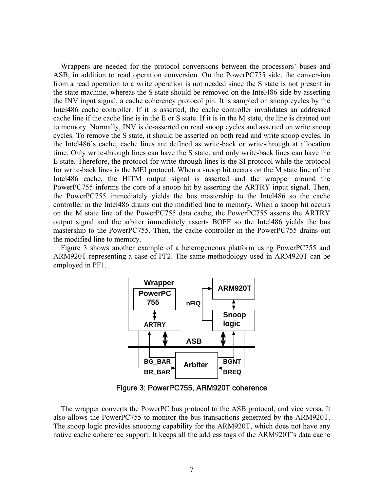Wrappers are needed for the protocol conversions between the processors' buses and ASB, in addition to read operation conversion. On the PowerPC755 side, the conversion from a read operation to a write operation is not needed since the S state is not present in the state machine, whereas the S state should be removed on the Intel486 side by asserting the INV input signal, a cache coherency protocol pin. It is sampled on snoop cycles by the Intel486 cache controller. If it is asserted, the cache controller invalidates an addressed cache line if the cache line is in the E or S state. If it is in the M state, the line is drained out to memory. Normally, INV is de-asserted on read snoop cycles and asserted on write snoop cycles. To remove the S state, it should be asserted on both read and write snoop cycles. In the Intel486's cache, cache lines are defined as write-back or write-through at allocation time. Only write-through lines can have the S state, and only write-back lines can have the E state. Therefore, the protocol for write-through lines is the SI protocol while the protocol for write-back lines is the MEI protocol. When a snoop hit occurs on the M state line of the Intel486 cache, the HITM output signal is asserted and the wrapper around the PowerPC755 informs the core of a snoop hit by asserting the ARTRY input signal. Then, the PowerPC755 immediately yields the bus mastership to the Intel486 so the cache controller in the Intel486 drains out the modified line to memory. When a snoop hit occurs on the M state line of the PowerPC755 data cache, the PowerPC755 asserts the ARTRY output signal and the arbiter immediately asserts BOFF so the Intel486 yields the bus mastership to the PowerPC755. Then, the cache controller in the PowerPC755 drains out the modified line to memory.

Figure 3 shows another example of a heterogeneous platform using PowerPC755 and ARM920T representing a case of PF2. The same methodology used in ARM920T can be employed in PF1.



Figure 3: PowerPC755, ARM920T coherence

The wrapper converts the PowerPC bus protocol to the ASB protocol, and vice versa. It also allows the PowerPC755 to monitor the bus transactions generated by the ARM920T. The snoop logic provides snooping capability for the ARM920T, which does not have any native cache coherence support. It keeps all the address tags of the ARM920T's data cache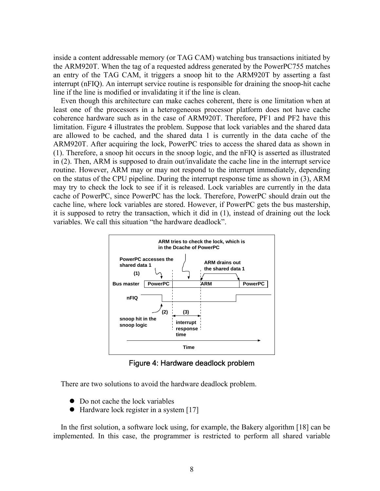inside a content addressable memory (or TAG CAM) watching bus transactions initiated by the ARM920T. When the tag of a requested address generated by the PowerPC755 matches an entry of the TAG CAM, it triggers a snoop hit to the ARM920T by asserting a fast interrupt (nFIQ). An interrupt service routine is responsible for draining the snoop-hit cache line if the line is modified or invalidating it if the line is clean.

Even though this architecture can make caches coherent, there is one limitation when at least one of the processors in a heterogeneous processor platform does not have cache coherence hardware such as in the case of ARM920T. Therefore, PF1 and PF2 have this limitation. Figure 4 illustrates the problem. Suppose that lock variables and the shared data are allowed to be cached, and the shared data 1 is currently in the data cache of the ARM920T. After acquiring the lock, PowerPC tries to access the shared data as shown in (1). Therefore, a snoop hit occurs in the snoop logic, and the nFIQ is asserted as illustrated in (2). Then, ARM is supposed to drain out/invalidate the cache line in the interrupt service routine. However, ARM may or may not respond to the interrupt immediately, depending on the status of the CPU pipeline. During the interrupt response time as shown in (3), ARM may try to check the lock to see if it is released. Lock variables are currently in the data cache of PowerPC, since PowerPC has the lock. Therefore, PowerPC should drain out the cache line, where lock variables are stored. However, if PowerPC gets the bus mastership, it is supposed to retry the transaction, which it did in (1), instead of draining out the lock variables. We call this situation "the hardware deadlock".



Figure 4: Hardware deadlock problem

There are two solutions to avoid the hardware deadlock problem.

- $\bullet$  Do not cache the lock variables
- $\bullet$  Hardware lock register in a system [17]

In the first solution, a software lock using, for example, the Bakery algorithm [18] can be implemented. In this case, the programmer is restricted to perform all shared variable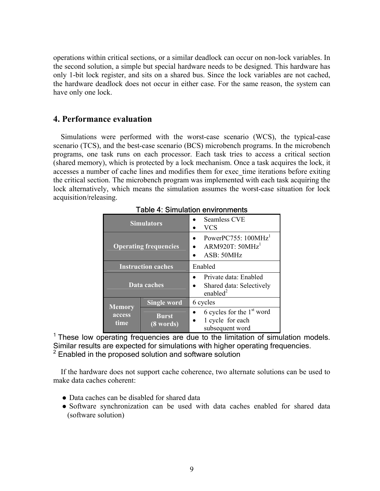operations within critical sections, or a similar deadlock can occur on non-lock variables. In the second solution, a simple but special hardware needs to be designed. This hardware has only 1-bit lock register, and sits on a shared bus. Since the lock variables are not cached, the hardware deadlock does not occur in either case. For the same reason, the system can have only one lock.

# **4. Performance evaluation**

Simulations were performed with the worst-case scenario (WCS), the typical-case scenario (TCS), and the best-case scenario (BCS) microbench programs. In the microbench programs, one task runs on each processor. Each task tries to access a critical section (shared memory), which is protected by a lock mechanism. Once a task acquires the lock, it accesses a number of cache lines and modifies them for exec time iterations before exiting the critical section. The microbench program was implemented with each task acquiring the lock alternatively, which means the simulation assumes the worst-case situation for lock acquisition/releasing.

| <b>Simulators</b>               |                           | <b>Seamless CVE</b><br><b>VCS</b>                                  |  |
|---------------------------------|---------------------------|--------------------------------------------------------------------|--|
| <b>Operating frequencies</b>    |                           | PowerPC755: $100MHz1$<br>ARM920T: $50MHz1$<br>ASB: 50MHz           |  |
| <b>Instruction caches</b>       |                           | Enabled                                                            |  |
| Data caches                     |                           | Private data: Enabled<br>Shared data: Selectively<br>enabled $2$   |  |
| <b>Memory</b><br>access<br>time | <b>Single word</b>        | 6 cycles                                                           |  |
|                                 | <b>Burst</b><br>(8 words) | 6 cycles for the $1st$ word<br>1 cycle for each<br>subsequent word |  |

Table 4: Simulation environments

<sup>1</sup> These low operating frequencies are due to the limitation of simulation models. Similar results are expected for simulations with higher operating frequencies. 2 Enabled in the proposed solution and software solution

If the hardware does not support cache coherence, two alternate solutions can be used to make data caches coherent:

- Data caches can be disabled for shared data
- Software synchronization can be used with data caches enabled for shared data (software solution)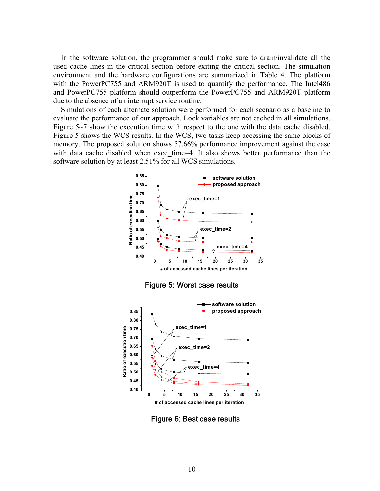In the software solution, the programmer should make sure to drain/invalidate all the used cache lines in the critical section before exiting the critical section. The simulation environment and the hardware configurations are summarized in Table 4. The platform with the PowerPC755 and ARM920T is used to quantify the performance. The Intel486 and PowerPC755 platform should outperform the PowerPC755 and ARM920T platform due to the absence of an interrupt service routine.

Simulations of each alternate solution were performed for each scenario as a baseline to evaluate the performance of our approach. Lock variables are not cached in all simulations. Figure 5~7 show the execution time with respect to the one with the data cache disabled. Figure 5 shows the WCS results. In the WCS, two tasks keep accessing the same blocks of memory. The proposed solution shows 57.66% performance improvement against the case with data cache disabled when exec time=4. It also shows better performance than the software solution by at least 2.51% for all WCS simulations.



**0 5 10 15 20 25 30 35 # of accessed cache lines per iteration**

**0.40**

Figure 6: Best case results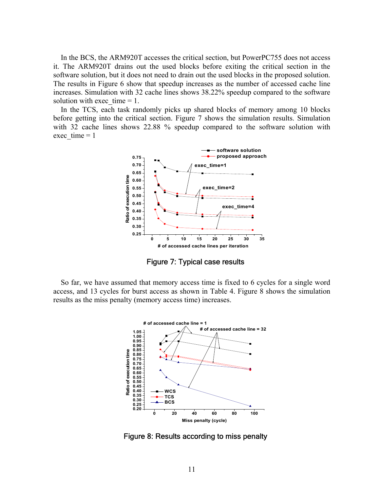In the BCS, the ARM920T accesses the critical section, but PowerPC755 does not access it. The ARM920T drains out the used blocks before exiting the critical section in the software solution, but it does not need to drain out the used blocks in the proposed solution. The results in Figure 6 show that speedup increases as the number of accessed cache line increases. Simulation with 32 cache lines shows 38.22% speedup compared to the software solution with exec time  $= 1$ .

In the TCS, each task randomly picks up shared blocks of memory among 10 blocks before getting into the critical section. Figure 7 shows the simulation results. Simulation with 32 cache lines shows 22.88 % speedup compared to the software solution with exec  $time = 1$ 



Figure 7: Typical case results

So far, we have assumed that memory access time is fixed to 6 cycles for a single word access, and 13 cycles for burst access as shown in Table 4. Figure 8 shows the simulation results as the miss penalty (memory access time) increases.



Figure 8: Results according to miss penalty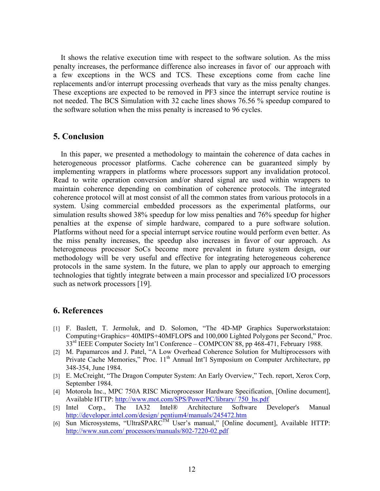It shows the relative execution time with respect to the software solution. As the miss penalty increases, the performance difference also increases in favor of our approach with a few exceptions in the WCS and TCS. These exceptions come from cache line replacements and/or interrupt processing overheads that vary as the miss penalty changes. These exceptions are expected to be removed in PF3 since the interrupt service routine is not needed. The BCS Simulation with 32 cache lines shows 76.56 % speedup compared to the software solution when the miss penalty is increased to 96 cycles.

# **5. Conclusion**

In this paper, we presented a methodology to maintain the coherence of data caches in heterogeneous processor platforms. Cache coherence can be guaranteed simply by implementing wrappers in platforms where processors support any invalidation protocol. Read to write operation conversion and/or shared signal are used within wrappers to maintain coherence depending on combination of coherence protocols. The integrated coherence protocol will at most consist of all the common states from various protocols in a system. Using commercial embedded processors as the experimental platforms, our simulation results showed 38% speedup for low miss penalties and 76% speedup for higher penalties at the expense of simple hardware, compared to a pure software solution. Platforms without need for a special interrupt service routine would perform even better. As the miss penalty increases, the speedup also increases in favor of our approach. As heterogeneous processor SoCs become more prevalent in future system design, our methodology will be very useful and effective for integrating heterogeneous coherence protocols in the same system. In the future, we plan to apply our approach to emerging technologies that tightly integrate between a main processor and specialized I/O processors such as network processors [19].

# **6. References**

- [1] F. Baslett, T. Jermoluk, and D. Solomon, "The 4D-MP Graphics Superworkstataion: Computing+Graphics= 40MIPS+40MFLOPS and 100,000 Lighted Polygons per Second," Proc. 33rd IEEE Computer Society Int'l Conference – COMPCON`88, pp 468-471, February 1988.
- [2] M. Papamarcos and J. Patel, "A Low Overhead Coherence Solution for Multiprocessors with Private Cache Memories," Proc. 11<sup>th</sup> Annual Int'l Symposium on Computer Architecture, pp 348-354, June 1984.
- [3] E. McCreight, "The Dragon Computer System: An Early Overview," Tech. report, Xerox Corp, September 1984.
- [4] Motorola Inc., MPC 750A RISC Microprocessor Hardware Specification, [Online document], Available HTTP: http://www.mot.com/SPS/PowerPC/library/ 750\_hs.pdf
- [5] Intel Corp., The IA32 Intel® Architecture Software Developer's Manual http://developer.intel.com/design/ pentium4/manuals/245472.htm
- $\overline{\text{Sun} \text{ Microsoft}}$  Sun Microsystems, "UltraSPARC<sup>TM</sup> User's manual," [Online document], Available HTTP: http://www.sun.com/ processors/manuals/802-7220-02.pdf